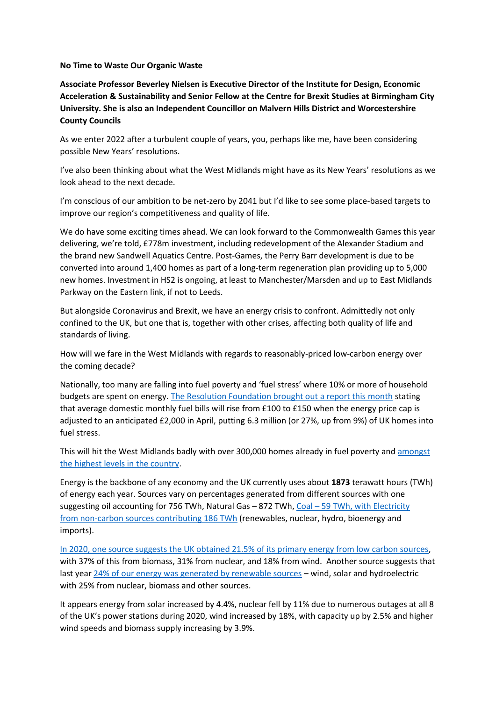## **No Time to Waste Our Organic Waste**

**Associate Professor Beverley Nielsen is Executive Director of the Institute for Design, Economic Acceleration & Sustainability and Senior Fellow at the Centre for Brexit Studies at Birmingham City University. She is also an Independent Councillor on Malvern Hills District and Worcestershire County Councils**

As we enter 2022 after a turbulent couple of years, you, perhaps like me, have been considering possible New Years' resolutions.

I've also been thinking about what the West Midlands might have as its New Years' resolutions as we look ahead to the next decade.

I'm conscious of our ambition to be net-zero by 2041 but I'd like to see some place-based targets to improve our region's competitiveness and quality of life.

We do have some exciting times ahead. We can look forward to the Commonwealth Games this year delivering, we're told, £778m investment, including redevelopment of the Alexander Stadium and the brand new Sandwell Aquatics Centre. Post-Games, the Perry Barr development is due to be converted into around 1,400 homes as part of a long-term regeneration plan providing up to 5,000 new homes. Investment in HS2 is ongoing, at least to Manchester/Marsden and up to East Midlands Parkway on the Eastern link, if not to Leeds.

But alongside Coronavirus and Brexit, we have an energy crisis to confront. Admittedly not only confined to the UK, but one that is, together with other crises, affecting both quality of life and standards of living.

How will we fare in the West Midlands with regards to reasonably-priced low-carbon energy over the coming decade?

Nationally, too many are falling into fuel poverty and 'fuel stress' where 10% or more of household budgets are spent on energy. [The Resolution Foundation brought out a report this month](https://www.theguardian.com/money/2022/jan/17/uk-households-facing-fuel-stress-will-treble-to-63m-thinktank) stating that average domestic monthly fuel bills will rise from £100 to £150 when the energy price cap is adjusted to an anticipated £2,000 in April, putting 6.3 million (or 27%, up from 9%) of UK homes into fuel stress.

This will hit the West Midlands badly with over 300,000 homes already in fuel poverty and [amongst](https://assets.publishing.service.gov.uk/government/uploads/system/uploads/attachment_data/file/882192/fuel-poverty-sub-regional-2020.pdf)  [the highest levels in the country.](https://assets.publishing.service.gov.uk/government/uploads/system/uploads/attachment_data/file/882192/fuel-poverty-sub-regional-2020.pdf)

Energy is the backbone of any economy and the UK currently uses about **1873** terawatt hours (TWh) of energy each year. Sources vary on percentages generated from different sources with one suggesting oil accounting for 756 TWh, Natural Gas – 872 TWh, Coal – [59 TWh, with Electricity](https://www.carboncommentary.com/blog/2020/8/23/how-much-space-will-a-100-renewables-uk-require#:~:text=The%20UK%20currently%20uses%20about%201873%20terawatt%20hours,-%20756%20TWh%20Natural%20Gas%20-%20872%20TWh)  from non-carbon [sources contributing 186 TWh](https://www.carboncommentary.com/blog/2020/8/23/how-much-space-will-a-100-renewables-uk-require#:~:text=The%20UK%20currently%20uses%20about%201873%20terawatt%20hours,-%20756%20TWh%20Natural%20Gas%20-%20872%20TWh) (renewables, nuclear, hydro, bioenergy and imports).

[In 2020, one source suggests the UK obtained 21.5% of its primary energy from low carbon sources,](https://assets.publishing.service.gov.uk/government/uploads/system/uploads/attachment_data/file/1032260/UK_Energy_in_Brief_2021.pdf) with 37% of this from biomass, 31% from nuclear, and 18% from wind. Another source suggests that last year [24% of our energy was generated by renewable sources](https://grid.iamkate.com/) – wind, solar and hydroelectric with 25% from nuclear, biomass and other sources.

It appears energy from solar increased by 4.4%, nuclear fell by 11% due to numerous outages at all 8 of the UK's power stations during 2020, wind increased by 18%, with capacity up by 2.5% and higher wind speeds and biomass supply increasing by 3.9%.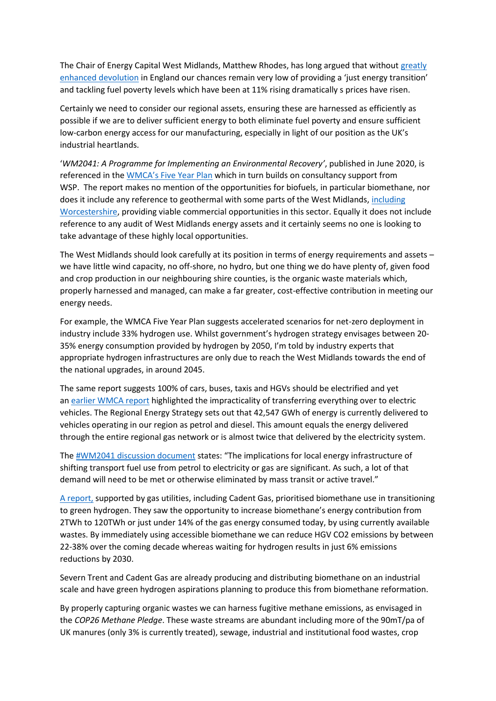The Chair of Energy Capital West Midlands, Matthew Rhodes, has long argued that without [greatly](https://centreforbrexitstudiesblog.wordpress.com/2020/11/24/green-industrial-revolution-sound-strategy-or-more-sound-bites/)  [enhanced devolution](https://centreforbrexitstudiesblog.wordpress.com/2020/11/24/green-industrial-revolution-sound-strategy-or-more-sound-bites/) in England our chances remain very low of providing a 'just energy transition' and tackling fuel poverty levels which have been at 11% rising dramatically s prices have risen.

Certainly we need to consider our regional assets, ensuring these are harnessed as efficiently as possible if we are to deliver sufficient energy to both eliminate fuel poverty and ensure sufficient low-carbon energy access for our manufacturing, especially in light of our position as the UK's industrial heartlands.

'*WM2041: A Programme for Implementing an Environmental Recovery'*, published in June 2020, is referenced in the [WMCA's Five Year Plan](https://www.wmca.org.uk/media/4746/wmca-board-paper-for-wm2041-fyp-final.pdf#:~:text=The%20development%20of%20the%20Five%20Year%20Plan%20%28FYP%29,the%20full%20technical%20report%20is%20available%20on%20request%29.) which in turn builds on consultancy support from WSP. The report makes no mention of the opportunities for biofuels, in particular biomethane, nor does it include any reference to geothermal with some parts of the West Midlands, [including](https://www.wlep.co.uk/geothermal-heat-support-businesses/)  [Worcestershire,](https://www.wlep.co.uk/geothermal-heat-support-businesses/) providing viable commercial opportunities in this sector. Equally it does not include reference to any audit of West Midlands energy assets and it certainly seems no one is looking to take advantage of these highly local opportunities.

The West Midlands should look carefully at its position in terms of energy requirements and assets – we have little wind capacity, no off-shore, no hydro, but one thing we do have plenty of, given food and crop production in our neighbouring shire counties, is the organic waste materials which, properly harnessed and managed, can make a far greater, cost-effective contribution in meeting our energy needs.

For example, the WMCA Five Year Plan suggests accelerated scenarios for net-zero deployment in industry include 33% hydrogen use. Whilst government's hydrogen strategy envisages between 20- 35% energy consumption provided by hydrogen by 2050, I'm told by industry experts that appropriate hydrogen infrastructures are only due to reach the West Midlands towards the end of the national upgrades, in around 2045.

The same report suggests 100% of cars, buses, taxis and HGVs should be electrified and yet an [earlier WMCA report](https://governance.wmca.org.uk/documents/s3856/) highlighted the impracticality of transferring everything over to electric vehicles. The Regional Energy Strategy sets out that 42,547 GWh of energy is currently delivered to vehicles operating in our region as petrol and diesel. This amount equals the energy delivered through the entire regional gas network or is almost twice that delivered by the electricity system.

The [#WM2041 discussion document](https://governance.wmca.org.uk/documents/s3856/) states: "The implications for local energy infrastructure of shifting transport fuel use from petrol to electricity or gas are significant. As such, a lot of that demand will need to be met or otherwise eliminated by mass transit or active travel."

[A report,](http://www.element-energy.co.uk/wordpress/wp-content/uploads/2021/04/20210325-CADENT_HYDROGEN_TRANSPORT_REPORT.pdf) supported by gas utilities, including Cadent Gas, prioritised biomethane use in transitioning to green hydrogen. They saw the opportunity to increase biomethane's energy contribution from 2TWh to 120TWh or just under 14% of the gas energy consumed today, by using currently available wastes. By immediately using accessible biomethane we can reduce HGV CO2 emissions by between 22-38% over the coming decade whereas waiting for hydrogen results in just 6% emissions reductions by 2030.

Severn Trent and Cadent Gas are already producing and distributing biomethane on an industrial scale and have green hydrogen aspirations planning to produce this from biomethane reformation.

By properly capturing organic wastes we can harness fugitive methane emissions, as envisaged in the *COP26 Methane Pledge*. These waste streams are abundant including more of the 90mT/pa of UK manures (only 3% is currently treated), sewage, industrial and institutional food wastes, crop